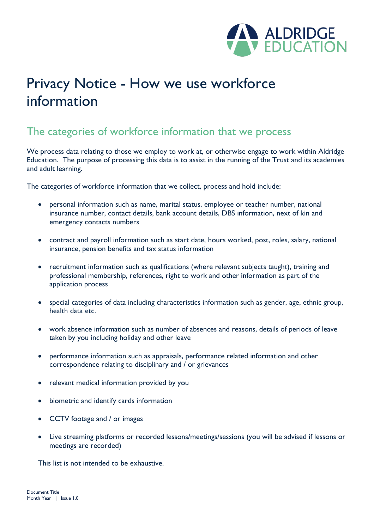

# Privacy Notice - How we use workforce information

### The categories of workforce information that we process

We process data relating to those we employ to work at, or otherwise engage to work within Aldridge Education. The purpose of processing this data is to assist in the running of the Trust and its academies and adult learning.

The categories of workforce information that we collect, process and hold include:

- personal information such as name, marital status, employee or teacher number, national insurance number, contact details, bank account details, DBS information, next of kin and emergency contacts numbers
- contract and payroll information such as start date, hours worked, post, roles, salary, national insurance, pension benefits and tax status information
- recruitment information such as qualifications (where relevant subjects taught), training and professional membership, references, right to work and other information as part of the application process
- special categories of data including characteristics information such as gender, age, ethnic group, health data etc.
- work absence information such as number of absences and reasons, details of periods of leave taken by you including holiday and other leave
- performance information such as appraisals, performance related information and other correspondence relating to disciplinary and / or grievances
- relevant medical information provided by you
- biometric and identify cards information
- CCTV footage and / or images
- Live streaming platforms or recorded lessons/meetings/sessions (you will be advised if lessons or meetings are recorded)

This list is not intended to be exhaustive.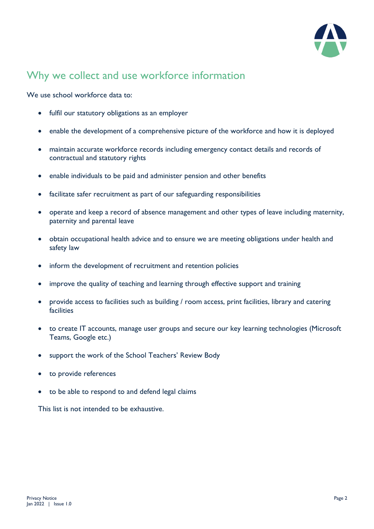

# Why we collect and use workforce information

We use school workforce data to:

- fulfil our statutory obligations as an employer
- enable the development of a comprehensive picture of the workforce and how it is deployed
- maintain accurate workforce records including emergency contact details and records of contractual and statutory rights
- enable individuals to be paid and administer pension and other benefits
- facilitate safer recruitment as part of our safeguarding responsibilities
- operate and keep a record of absence management and other types of leave including maternity, paternity and parental leave
- obtain occupational health advice and to ensure we are meeting obligations under health and safety law
- inform the development of recruitment and retention policies
- improve the quality of teaching and learning through effective support and training
- provide access to facilities such as building / room access, print facilities, library and catering facilities
- to create IT accounts, manage user groups and secure our key learning technologies (Microsoft Teams, Google etc.)
- support the work of the School Teachers' Review Body
- to provide references
- to be able to respond to and defend legal claims

This list is not intended to be exhaustive.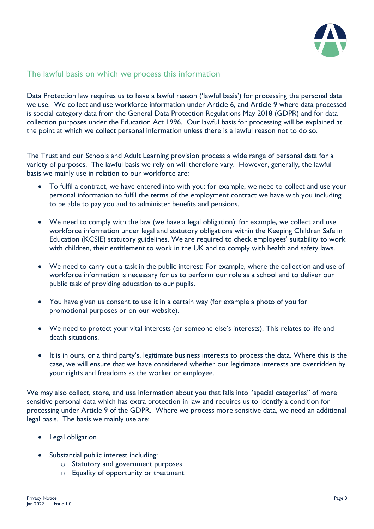

#### The lawful basis on which we process this information

Data Protection law requires us to have a lawful reason ('lawful basis') for processing the personal data we use. We collect and use workforce information under Article 6, and Article 9 where data processed is special category data from the General Data Protection Regulations May 2018 (GDPR) and for data collection purposes under the Education Act 1996. Our lawful basis for processing will be explained at the point at which we collect personal information unless there is a lawful reason not to do so.

The Trust and our Schools and Adult Learning provision process a wide range of personal data for a variety of purposes. The lawful basis we rely on will therefore vary. However, generally, the lawful basis we mainly use in relation to our workforce are:

- To fulfil a contract, we have entered into with you: for example, we need to collect and use your personal information to fulfil the terms of the employment contract we have with you including to be able to pay you and to administer benefits and pensions.
- We need to comply with the law (we have a legal obligation): for example, we collect and use workforce information under legal and statutory obligations within the Keeping Children Safe in Education (KCSIE) statutory guidelines. We are required to check employees' suitability to work with children, their entitlement to work in the UK and to comply with health and safety laws.
- We need to carry out a task in the public interest: For example, where the collection and use of workforce information is necessary for us to perform our role as a school and to deliver our public task of providing education to our pupils.
- You have given us consent to use it in a certain way (for example a photo of you for promotional purposes or on our website).
- We need to protect your vital interests (or someone else's interests). This relates to life and death situations.
- It is in ours, or a third party's, legitimate business interests to process the data. Where this is the case, we will ensure that we have considered whether our legitimate interests are overridden by your rights and freedoms as the worker or employee.

We may also collect, store, and use information about you that falls into "special categories" of more sensitive personal data which has extra protection in law and requires us to identify a condition for processing under Article 9 of the GDPR. Where we process more sensitive data, we need an additional legal basis. The basis we mainly use are:

- Legal obligation
- Substantial public interest including:
	- o Statutory and government purposes
	- o Equality of opportunity or treatment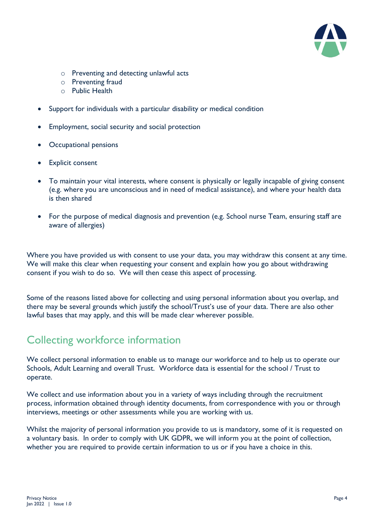

- o Preventing and detecting unlawful acts
- o Preventing fraud
- o Public Health
- Support for individuals with a particular disability or medical condition
- Employment, social security and social protection
- Occupational pensions
- **Explicit consent**
- To maintain your vital interests, where consent is physically or legally incapable of giving consent (e.g. where you are unconscious and in need of medical assistance), and where your health data is then shared
- For the purpose of medical diagnosis and prevention (e.g. School nurse Team, ensuring staff are aware of allergies)

Where you have provided us with consent to use your data, you may withdraw this consent at any time. We will make this clear when requesting your consent and explain how you go about withdrawing consent if you wish to do so. We will then cease this aspect of processing.

Some of the reasons listed above for collecting and using personal information about you overlap, and there may be several grounds which justify the school/Trust's use of your data. There are also other lawful bases that may apply, and this will be made clear wherever possible.

### Collecting workforce information

We collect personal information to enable us to manage our workforce and to help us to operate our Schools, Adult Learning and overall Trust. Workforce data is essential for the school / Trust to operate.

We collect and use information about you in a variety of ways including through the recruitment process, information obtained through identity documents, from correspondence with you or through interviews, meetings or other assessments while you are working with us.

Whilst the majority of personal information you provide to us is mandatory, some of it is requested on a voluntary basis. In order to comply with UK GDPR, we will inform you at the point of collection, whether you are required to provide certain information to us or if you have a choice in this.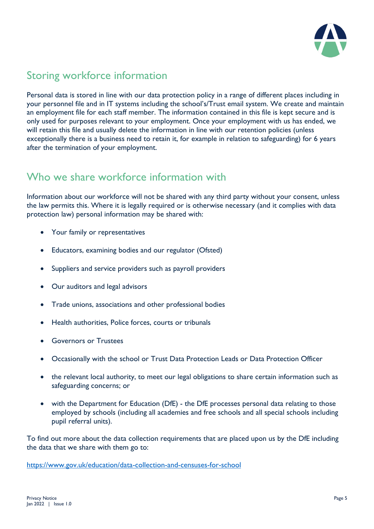

# Storing workforce information

Personal data is stored in line with our data protection policy in a range of different places including in your personnel file and in IT systems including the school's/Trust email system. We create and maintain an employment file for each staff member. The information contained in this file is kept secure and is only used for purposes relevant to your employment. Once your employment with us has ended, we will retain this file and usually delete the information in line with our retention policies (unless exceptionally there is a business need to retain it, for example in relation to safeguarding) for 6 years after the termination of your employment.

## Who we share workforce information with

Information about our workforce will not be shared with any third party without your consent, unless the law permits this. Where it is legally required or is otherwise necessary (and it complies with data protection law) personal information may be shared with:

- Your family or representatives
- Educators, examining bodies and our regulator (Ofsted)
- Suppliers and service providers such as payroll providers
- Our auditors and legal advisors
- Trade unions, associations and other professional bodies
- Health authorities, Police forces, courts or tribunals
- Governors or Trustees
- Occasionally with the school or Trust Data Protection Leads or Data Protection Officer
- the relevant local authority, to meet our legal obligations to share certain information such as safeguarding concerns; or
- with the Department for Education (DfE) the DfE processes personal data relating to those employed by schools (including all academies and free schools and all special schools including pupil referral units).

To find out more about the data collection requirements that are placed upon us by the DfE including the data that we share with them go to:

<https://www.gov.uk/education/data-collection-and-censuses-for-school>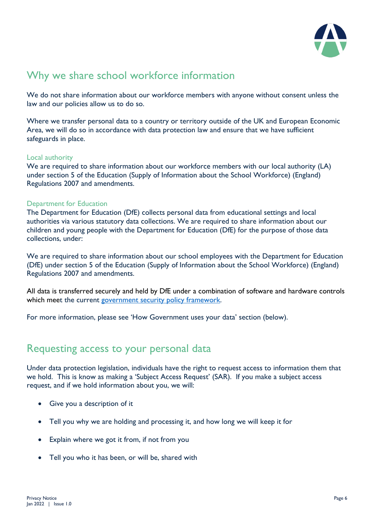

# Why we share school workforce information

We do not share information about our workforce members with anyone without consent unless the law and our policies allow us to do so.

Where we transfer personal data to a country or territory outside of the UK and European Economic Area, we will do so in accordance with data protection law and ensure that we have sufficient safeguards in place.

#### Local authority

We are required to share information about our workforce members with our local authority (LA) under section 5 of the Education (Supply of Information about the School Workforce) (England) Regulations 2007 and amendments.

#### Department for Education

The Department for Education (DfE) collects personal data from educational settings and local authorities via various statutory data collections. We are required to share information about our children and young people with the Department for Education (DfE) for the purpose of those data collections, under:

We are required to share information about our school employees with the Department for Education (DfE) under section 5 of the Education (Supply of Information about the School Workforce) (England) Regulations 2007 and amendments.

All data is transferred securely and held by DfE under a combination of software and hardware controls which meet the current [government security policy framework.](https://www.gov.uk/government/publications/security-policy-framework)

For more information, please see 'How Government uses your data' section (below).

### Requesting access to your personal data

Under data protection legislation, individuals have the right to request access to information them that we hold. This is know as making a 'Subject Access Request' (SAR). If you make a subject access request, and if we hold information about you, we will:

- Give you a description of it
- Tell you why we are holding and processing it, and how long we will keep it for
- Explain where we got it from, if not from you
- Tell you who it has been, or will be, shared with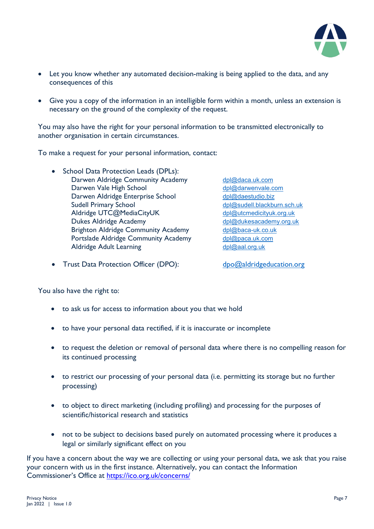

- Let you know whether any automated decision-making is being applied to the data, and any consequences of this
- Give you a copy of the information in an intelligible form within a month, unless an extension is necessary on the ground of the complexity of the request.

You may also have the right for your personal information to be transmitted electronically to another organisation in certain circumstances.

To make a request for your personal information, contact:

• School Data Protection Leads (DPLs): Darwen Aldridge Community Academy [dpl@daca.uk.com](mailto:dpl@daca.uk.com) Darwen Vale High School [dpl@darwenvale.com](mailto:dpl@darwenvale.com) Darwen Aldridge Enterprise School [dpl@daestudio.biz](mailto:dpl@daestudio.biz) Aldridge UTC@MediaCityUK Dukes Aldridge Academy demonstration of the [dpl@dukesacademy.org.uk](mailto:dpl@dukesacademy.org.uk) Brighton Aldridge Community Academy [dpl@baca-uk.co.uk](mailto:dpl@baca-uk.co.uk) Portslade Aldridge Community Academy [dpl@paca.uk.com](mailto:dpl@paca.uk.com) Aldridge Adult Learning [dpl@aal.org.uk](mailto:dpl@aal.org.uk)

[dpl@sudell.blackburn.sch.uk](mailto:dpl@sudell.blackburn.sch.uk)<br>dpl@utcmedicityuk.org.uk

• Trust Data Protection Officer (DPO): [dpo@aldridgeducation.org](mailto:dpo@aldridgeducation.org)

You also have the right to:

- to ask us for access to information about you that we hold
- to have your personal data rectified, if it is inaccurate or incomplete
- to request the deletion or removal of personal data where there is no compelling reason for its continued processing
- to restrict our processing of your personal data (i.e. permitting its storage but no further processing)
- to object to direct marketing (including profiling) and processing for the purposes of scientific/historical research and statistics
- not to be subject to decisions based purely on automated processing where it produces a legal or similarly significant effect on you

If you have a concern about the way we are collecting or using your personal data, we ask that you raise your concern with us in the first instance. Alternatively, you can contact the Information Commissioner's Office at<https://ico.org.uk/concerns/>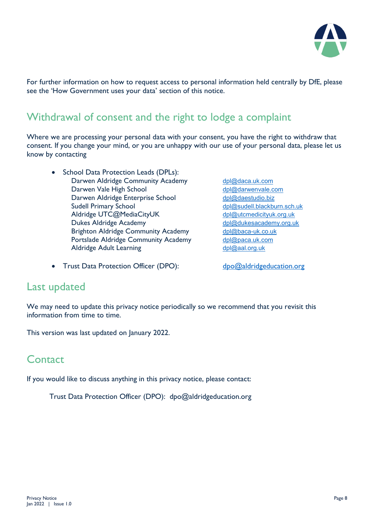

For further information on how to request access to personal information held centrally by DfE, please see the 'How Government uses your data' section of this notice.

# Withdrawal of consent and the right to lodge a complaint

Where we are processing your personal data with your consent, you have the right to withdraw that consent. If you change your mind, or you are unhappy with our use of your personal data, please let us know by contacting

- School Data Protection Leads (DPLs): Darwen Aldridge Community Academy [dpl@daca.uk.com](mailto:dpl@daca.uk.com) Darwen Vale High School [dpl@darwenvale.com](mailto:dpl@darwenvale.com) Darwen Aldridge Enterprise School [dpl@daestudio.biz](mailto:dpl@daestudio.biz) Sudell Primary School [dpl@sudell.blackburn.sch.uk](mailto:dpl@sudell.blackburn.sch.uk) Aldridge UTC@MediaCityUK [dpl@utcmedicityuk.org.uk](mailto:dpl@utcmedicityuk.org.uk) Dukes Aldridge Academy demonstration of the [dpl@dukesacademy.org.uk](mailto:dpl@dukesacademy.org.uk) Brighton Aldridge Community Academy [dpl@baca-uk.co.uk](mailto:dpl@baca-uk.co.uk) Portslade Aldridge Community Academy [dpl@paca.uk.com](mailto:dpl@paca.uk.com) Aldridge Adult Learning [dpl@aal.org.uk](mailto:dpl@aal.org.uk)
- Trust Data Protection Officer (DPO): [dpo@aldridgeducation.org](mailto:dpo@aldridgeducation.org)
- 

### Last updated

We may need to update this privacy notice periodically so we recommend that you revisit this information from time to time.

This version was last updated on January 2022.

### **Contact**

If you would like to discuss anything in this privacy notice, please contact:

Trust Data Protection Officer (DPO): dpo@aldridgeducation.org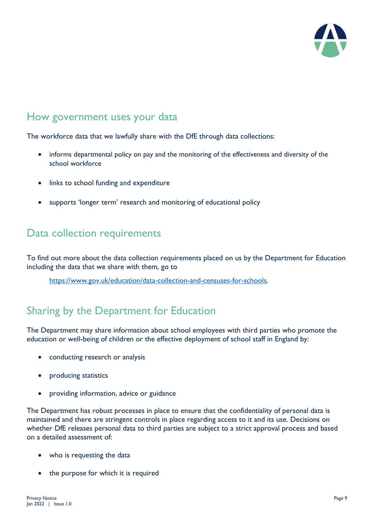

### How government uses your data

The workforce data that we lawfully share with the DfE through data collections:

- informs departmental policy on pay and the monitoring of the effectiveness and diversity of the school workforce
- links to school funding and expenditure
- supports 'longer term' research and monitoring of educational policy

### Data collection requirements

To find out more about the data collection requirements placed on us by the Department for Education including the data that we share with them, go to

[https://www.gov.uk/education/data-collection-and-censuses-for-schools.](https://www.gov.uk/education/data-collection-and-censuses-for-schools)

# Sharing by the Department for Education

The Department may share information about school employees with third parties who promote the education or well-being of children or the effective deployment of school staff in England by:

- conducting research or analysis
- producing statistics
- providing information, advice or guidance

The Department has robust processes in place to ensure that the confidentiality of personal data is maintained and there are stringent controls in place regarding access to it and its use. Decisions on whether DfE releases personal data to third parties are subject to a strict approval process and based on a detailed assessment of:

- who is requesting the data
- the purpose for which it is required